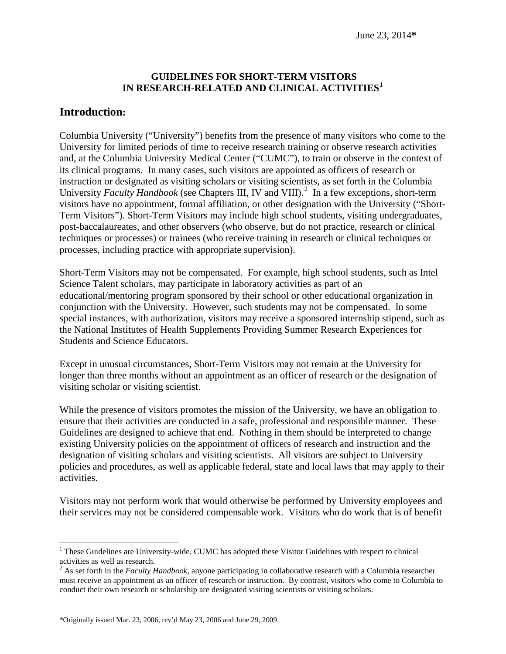#### **GUIDELINES FOR SHORT-TERM VISITORS IN RESEARCH-RELATED AND CLINICAL ACTIVITIES[1](#page-0-0)**

#### **Introduction:**

Columbia University ("University") benefits from the presence of many visitors who come to the University for limited periods of time to receive research training or observe research activities and, at the Columbia University Medical Center ("CUMC"), to train or observe in the context of its clinical programs. In many cases, such visitors are appointed as officers of research or instruction or designated as visiting scholars or visiting scientists, as set forth in the Columbia University *Faculty Handbook* (see Chapters III, IV and VIII). [2](#page-0-1) In a few exceptions, short-term visitors have no appointment, formal affiliation, or other designation with the University ("Short-Term Visitors"). Short-Term Visitors may include high school students, visiting undergraduates, post-baccalaureates, and other observers (who observe, but do not practice, research or clinical techniques or processes) or trainees (who receive training in research or clinical techniques or processes, including practice with appropriate supervision).

Short-Term Visitors may not be compensated. For example, high school students, such as Intel Science Talent scholars, may participate in laboratory activities as part of an educational/mentoring program sponsored by their school or other educational organization in conjunction with the University. However, such students may not be compensated. In some special instances, with authorization, visitors may receive a sponsored internship stipend, such as the National Institutes of Health Supplements Providing Summer Research Experiences for Students and Science Educators.

Except in unusual circumstances, Short-Term Visitors may not remain at the University for longer than three months without an appointment as an officer of research or the designation of visiting scholar or visiting scientist.

While the presence of visitors promotes the mission of the University, we have an obligation to ensure that their activities are conducted in a safe, professional and responsible manner. These Guidelines are designed to achieve that end. Nothing in them should be interpreted to change existing University policies on the appointment of officers of research and instruction and the designation of visiting scholars and visiting scientists. All visitors are subject to University policies and procedures, as well as applicable federal, state and local laws that may apply to their activities.

Visitors may not perform work that would otherwise be performed by University employees and their services may not be considered compensable work. Visitors who do work that is of benefit

<span id="page-0-0"></span> $1$  These Guidelines are University-wide. CUMC has adopted these Visitor Guidelines with respect to clinical activities as well as research.  $\overline{a}$ 

<span id="page-0-1"></span><sup>&</sup>lt;sup>2</sup> As set forth in the *Faculty Handbook*, anyone participating in collaborative research with a Columbia researcher must receive an appointment as an officer of research or instruction. By contrast, visitors who come to Columbia to conduct their own research or scholarship are designated visiting scientists or visiting scholars.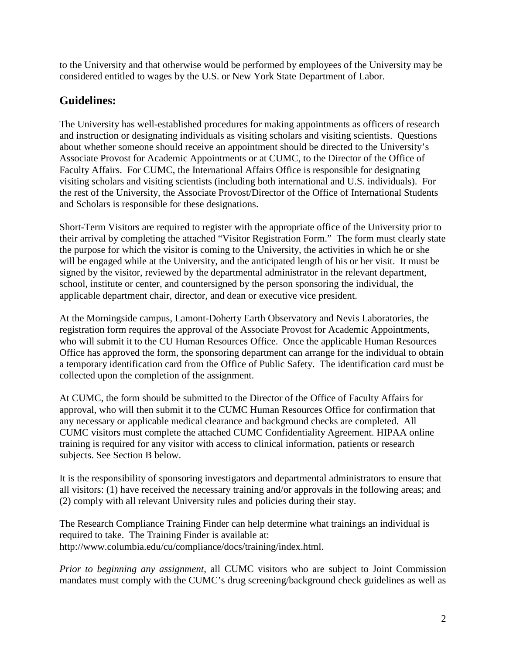to the University and that otherwise would be performed by employees of the University may be considered entitled to wages by the U.S. or New York State Department of Labor.

# **Guidelines:**

The University has well-established procedures for making appointments as officers of research and instruction or designating individuals as visiting scholars and visiting scientists. Questions about whether someone should receive an appointment should be directed to the University's Associate Provost for Academic Appointments or at CUMC, to the Director of the Office of Faculty Affairs. For CUMC, the International Affairs Office is responsible for designating visiting scholars and visiting scientists (including both international and U.S. individuals). For the rest of the University, the Associate Provost/Director of the Office of International Students and Scholars is responsible for these designations.

Short-Term Visitors are required to register with the appropriate office of the University prior to their arrival by completing the attached "Visitor Registration Form." The form must clearly state the purpose for which the visitor is coming to the University, the activities in which he or she will be engaged while at the University, and the anticipated length of his or her visit. It must be signed by the visitor, reviewed by the departmental administrator in the relevant department, school, institute or center, and countersigned by the person sponsoring the individual, the applicable department chair, director, and dean or executive vice president.

At the Morningside campus, Lamont-Doherty Earth Observatory and Nevis Laboratories, the registration form requires the approval of the Associate Provost for Academic Appointments, who will submit it to the CU Human Resources Office. Once the applicable Human Resources Office has approved the form, the sponsoring department can arrange for the individual to obtain a temporary identification card from the Office of Public Safety. The identification card must be collected upon the completion of the assignment.

At CUMC, the form should be submitted to the Director of the Office of Faculty Affairs for approval, who will then submit it to the CUMC Human Resources Office for confirmation that any necessary or applicable medical clearance and background checks are completed. All CUMC visitors must complete the attached CUMC Confidentiality Agreement. HIPAA online training is required for any visitor with access to clinical information, patients or research subjects. See Section B below.

It is the responsibility of sponsoring investigators and departmental administrators to ensure that all visitors: (1) have received the necessary training and/or approvals in the following areas; and (2) comply with all relevant University rules and policies during their stay.

The Research Compliance Training Finder can help determine what trainings an individual is required to take. The Training Finder is available at: http://www.columbia.edu/cu/compliance/docs/training/index.html.

*Prior to beginning any assignment*, all CUMC visitors who are subject to Joint Commission mandates must comply with the CUMC's drug screening/background check guidelines as well as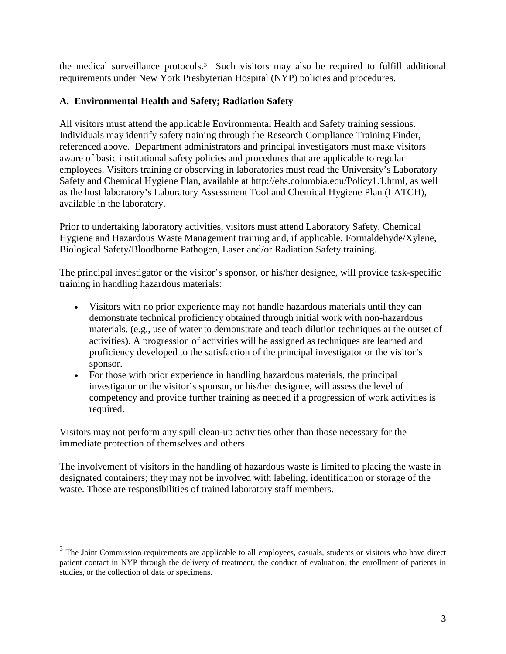the medical surveillance protocols.[3](#page-2-0) Such visitors may also be required to fulfill additional requirements under New York Presbyterian Hospital (NYP) policies and procedures.

#### **A. Environmental Health and Safety; Radiation Safety**

All visitors must attend the applicable Environmental Health and Safety training sessions. Individuals may identify safety training through the Research Compliance Training Finder, referenced above. Department administrators and principal investigators must make visitors aware of basic institutional safety policies and procedures that are applicable to regular employees. Visitors training or observing in laboratories must read the University's Laboratory Safety and Chemical Hygiene Plan, available at http://ehs.columbia.edu/Policy1.1.html, as well as the host laboratory's Laboratory Assessment Tool and Chemical Hygiene Plan (LATCH), available in the laboratory.

Prior to undertaking laboratory activities, visitors must attend Laboratory Safety, Chemical Hygiene and Hazardous Waste Management training and, if applicable, Formaldehyde/Xylene, Biological Safety/Bloodborne Pathogen, Laser and/or Radiation Safety training.

The principal investigator or the visitor's sponsor, or his/her designee, will provide task-specific training in handling hazardous materials:

- Visitors with no prior experience may not handle hazardous materials until they can demonstrate technical proficiency obtained through initial work with non-hazardous materials. (e.g., use of water to demonstrate and teach dilution techniques at the outset of activities). A progression of activities will be assigned as techniques are learned and proficiency developed to the satisfaction of the principal investigator or the visitor's sponsor.
- For those with prior experience in handling hazardous materials, the principal investigator or the visitor's sponsor, or his/her designee, will assess the level of competency and provide further training as needed if a progression of work activities is required.

Visitors may not perform any spill clean-up activities other than those necessary for the immediate protection of themselves and others.

 $\overline{a}$ 

The involvement of visitors in the handling of hazardous waste is limited to placing the waste in designated containers; they may not be involved with labeling, identification or storage of the waste. Those are responsibilities of trained laboratory staff members.

<span id="page-2-0"></span> $3$  The Joint Commission requirements are applicable to all employees, casuals, students or visitors who have direct patient contact in NYP through the delivery of treatment, the conduct of evaluation, the enrollment of patients in studies, or the collection of data or specimens.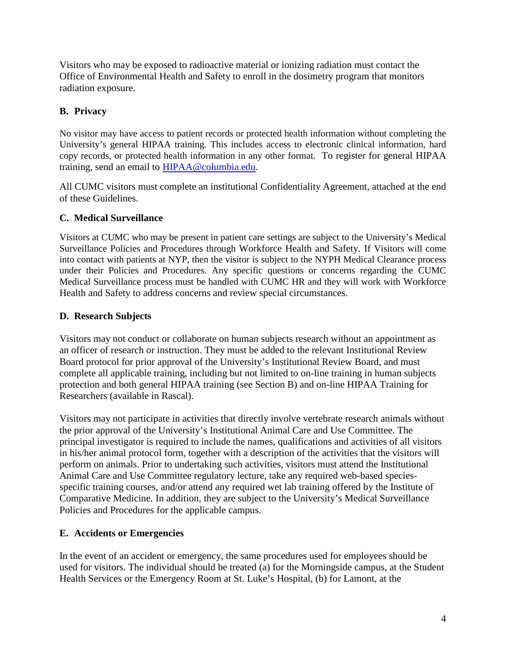Visitors who may be exposed to radioactive material or ionizing radiation must contact the Office of Environmental Health and Safety to enroll in the dosimetry program that monitors radiation exposure.

# **B. Privacy**

No visitor may have access to patient records or protected health information without completing the University's general HIPAA training. This includes access to electronic clinical information, hard copy records, or protected health information in any other format. To register for general HIPAA training, send an email to [HIPAA@columbia.edu.](mailto:HIPAA@columbia.edu)

All CUMC visitors must complete an institutional Confidentiality Agreement, attached at the end of these Guidelines.

## **C. Medical Surveillance**

Visitors at CUMC who may be present in patient care settings are subject to the University's Medical Surveillance Policies and Procedures through Workforce Health and Safety. If Visitors will come into contact with patients at NYP, then the visitor is subject to the NYPH Medical Clearance process under their Policies and Procedures. Any specific questions or concerns regarding the CUMC Medical Surveillance process must be handled with CUMC HR and they will work with Workforce Health and Safety to address concerns and review special circumstances.

## **D. Research Subjects**

Visitors may not conduct or collaborate on human subjects research without an appointment as an officer of research or instruction. They must be added to the relevant Institutional Review Board protocol for prior approval of the University's Institutional Review Board, and must complete all applicable training, including but not limited to on-line training in human subjects protection and both general HIPAA training (see Section B) and on-line HIPAA Training for Researchers (available in Rascal).

Visitors may not participate in activities that directly involve vertebrate research animals without the prior approval of the University's Institutional Animal Care and Use Committee. The principal investigator is required to include the names, qualifications and activities of all visitors in his/her animal protocol form, together with a description of the activities that the visitors will perform on animals. Prior to undertaking such activities, visitors must attend the Institutional Animal Care and Use Committee regulatory lecture, take any required web-based speciesspecific training courses, and/or attend any required wet lab training offered by the Institute of Comparative Medicine. In addition, they are subject to the University's Medical Surveillance Policies and Procedures for the applicable campus.

## **E. Accidents or Emergencies**

In the event of an accident or emergency, the same procedures used for employees should be used for visitors. The individual should be treated (a) for the Morningside campus, at the Student Health Services or the Emergency Room at St. Luke's Hospital, (b) for Lamont, at the